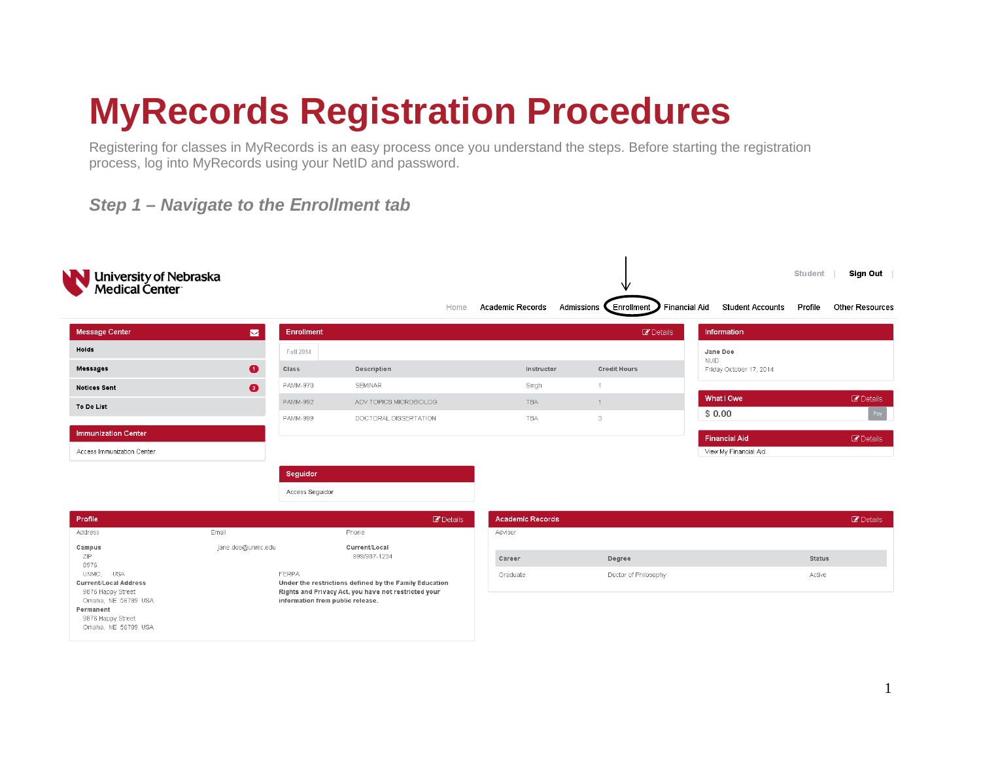# **MyRecords Registration Procedures**

Registering for classes in MyRecords is an easy process once you understand the steps. Before starting the registration process, log into MyRecords using your NetID and password.

#### *Step 1 – Navigate to the Enrollment tab*

| University of Nebraska<br>Medical Center<br>NN                                                                             |                   |                                  |                                                                                                                |                         | ∿                        |                                          | Student<br>Sign Out        |
|----------------------------------------------------------------------------------------------------------------------------|-------------------|----------------------------------|----------------------------------------------------------------------------------------------------------------|-------------------------|--------------------------|------------------------------------------|----------------------------|
|                                                                                                                            |                   |                                  | Home                                                                                                           | <b>Academic Records</b> | Admissions<br>Enrollment | Financial Aid<br><b>Student Accounts</b> | Profile<br>Other Resources |
| Message Center                                                                                                             | $\blacksquare$    | Enrollment                       |                                                                                                                |                         | <b>B</b> Details         | Information                              |                            |
| Holds                                                                                                                      |                   | Fall 2014                        |                                                                                                                |                         |                          | Jane Doe                                 |                            |
| <b>Messages</b>                                                                                                            | $\bullet$         | Class                            | Description                                                                                                    | Instructor              | <b>Credit Hours</b>      | <b>NUID</b><br>Friday October 17, 2014   |                            |
| <b>Notices Sent</b>                                                                                                        | $\bullet$         | PAMM-970                         | <b>SEMINAR</b>                                                                                                 | Singh                   | $\overline{1}$           |                                          |                            |
| To Do List                                                                                                                 |                   | <b>PAMM-992</b>                  | ADV TOPICS MICROBIOLOG                                                                                         | <b>TBA</b>              | $\overline{1}$           | What I Owe                               | <b>B</b> Details           |
|                                                                                                                            |                   | PAMM-999                         | DOCTORAL DISSERTATION                                                                                          | TBA                     | 3                        | \$0.00                                   | Pay                        |
| <b>Immunization Center</b>                                                                                                 |                   |                                  |                                                                                                                |                         |                          | <b>Financial Aid</b>                     | <b>B</b> Details           |
| Access Immunization Center                                                                                                 |                   |                                  |                                                                                                                |                         |                          | View My Financial Aid                    |                            |
|                                                                                                                            |                   | Seguidor                         |                                                                                                                |                         |                          |                                          |                            |
|                                                                                                                            |                   | Access Seguidor                  |                                                                                                                |                         |                          |                                          |                            |
|                                                                                                                            |                   |                                  |                                                                                                                |                         |                          |                                          |                            |
| Profile                                                                                                                    |                   |                                  | <b><i>C</i></b> Details                                                                                        | <b>Academic Records</b> |                          |                                          | <b><i>C</i></b> Details    |
| Address                                                                                                                    | Email             |                                  | Phone                                                                                                          | Advisor                 |                          |                                          |                            |
| Campus<br>ZIP.<br>8976                                                                                                     | jane.doe@unmc.edu |                                  | Current/Local<br>999/987-1234                                                                                  | Career                  | Degree                   |                                          | <b>Status</b>              |
| <b>USA</b><br>UNMC.                                                                                                        |                   | FERPA                            |                                                                                                                | Graduate                | Doctor of Philosophy     |                                          | Active                     |
| Current/Local Address<br>9876 Happy Street<br>Omaha, NE 56789 USA<br>Permanent<br>9876 Happy Street<br>Omaha, NE 56789 USA |                   | information from public release. | Under the restrictions defined by the Family Education<br>Rights and Privacy Act, you have not restricted your |                         |                          |                                          |                            |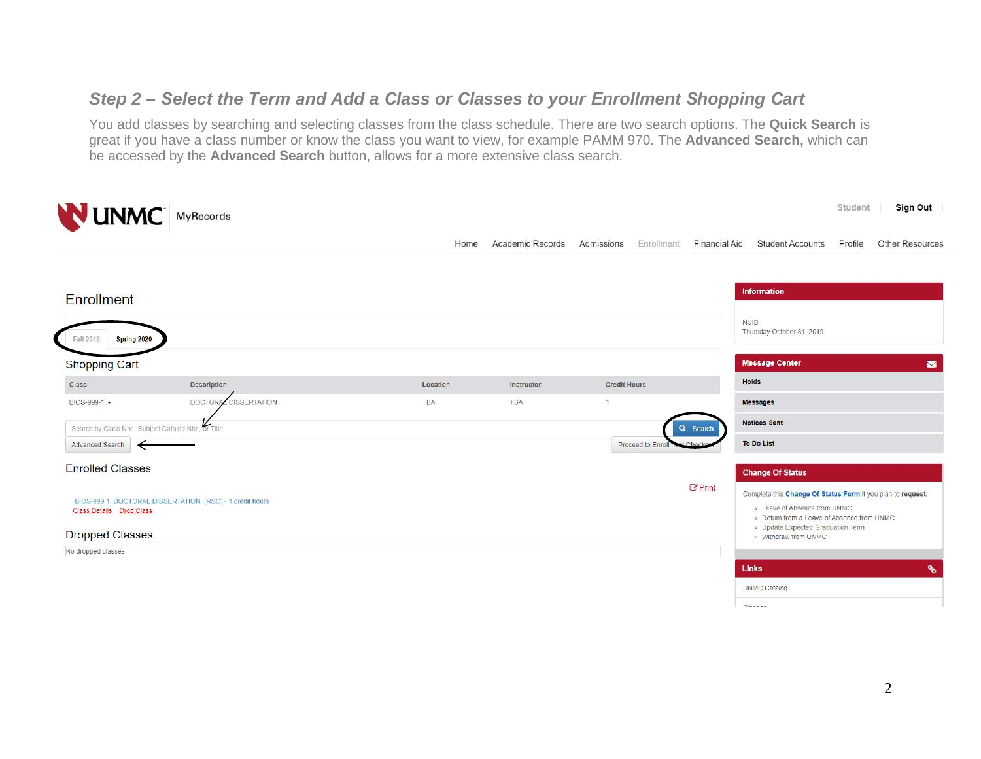### *Step 2 – Select the Term and Add a Class or Classes to your Enrollment Shopping Cart*

You add classes by searching and selecting classes from the class schedule. There are two search options. The **Quick Search** is great if you have a class number or know the class you want to view, for example PAMM 970. The **Advanced Search,** which can be accessed by the **Advanced Search** button, allows for a more extensive class search.

| <b>NUNMC</b> MyRecords                               |                                                         |          |                  |                          |                      | Student<br>Sign Out                                                                                                                       |
|------------------------------------------------------|---------------------------------------------------------|----------|------------------|--------------------------|----------------------|-------------------------------------------------------------------------------------------------------------------------------------------|
|                                                      |                                                         | Home     | Academic Records | Admissions<br>Enrollment | <b>Financial Aid</b> | Other Resources<br><b>Student Accounts</b><br>Profile                                                                                     |
| <b>Enrollment</b>                                    |                                                         |          |                  |                          |                      | Information                                                                                                                               |
| Fall 2019<br>Spring 2020                             |                                                         |          |                  |                          |                      | NUID.<br>Thursday October 31, 2019                                                                                                        |
| <b>Shopping Cart</b>                                 |                                                         |          |                  |                          |                      | <b>Message Center</b><br>$\blacksquare$                                                                                                   |
| Class                                                | Description                                             | Location | Instructor       | <b>Credit Hours</b>      |                      | Holds                                                                                                                                     |
| BIOS-999-1 -                                         | <b>DISSERTATION</b><br><b>DOCTORAL</b>                  | TBA      | TBA              | $\sqrt{1}$               |                      | <b>Messages</b>                                                                                                                           |
| Search by Class Nbr., Subject Catalog Nbr., or Title |                                                         |          |                  |                          | Q Search             | <b>Notices Sent</b>                                                                                                                       |
| Advanced Search<br>$\leftarrow$                      |                                                         |          |                  | Proceed to Enroll        |                      | To Do List                                                                                                                                |
| <b>Enrolled Classes</b>                              |                                                         |          |                  |                          |                      | <b>Change Of Status</b>                                                                                                                   |
| <b>Class Details Drop Class</b>                      | BIOS-999 1 DOCTORAL DISSERTATION (RSC) - 1 credit hours |          |                  |                          | $E$ Print            | Complete this Change Of Status Form if you plan to request:<br>o Leave of Absence from UNMC<br>. Return from a Leave of Absence from UNMC |
| <b>Dropped Classes</b>                               |                                                         |          |                  |                          |                      | o Update Expected Graduation Term<br>o Withdraw from UNMC                                                                                 |
| No dropped classes                                   |                                                         |          |                  |                          |                      |                                                                                                                                           |
|                                                      |                                                         |          |                  |                          |                      | $\mathcal{C}$<br><b>Links</b>                                                                                                             |
|                                                      |                                                         |          |                  |                          |                      | <b>UNMC Catalog</b>                                                                                                                       |
|                                                      |                                                         |          |                  |                          |                      | Film a more                                                                                                                               |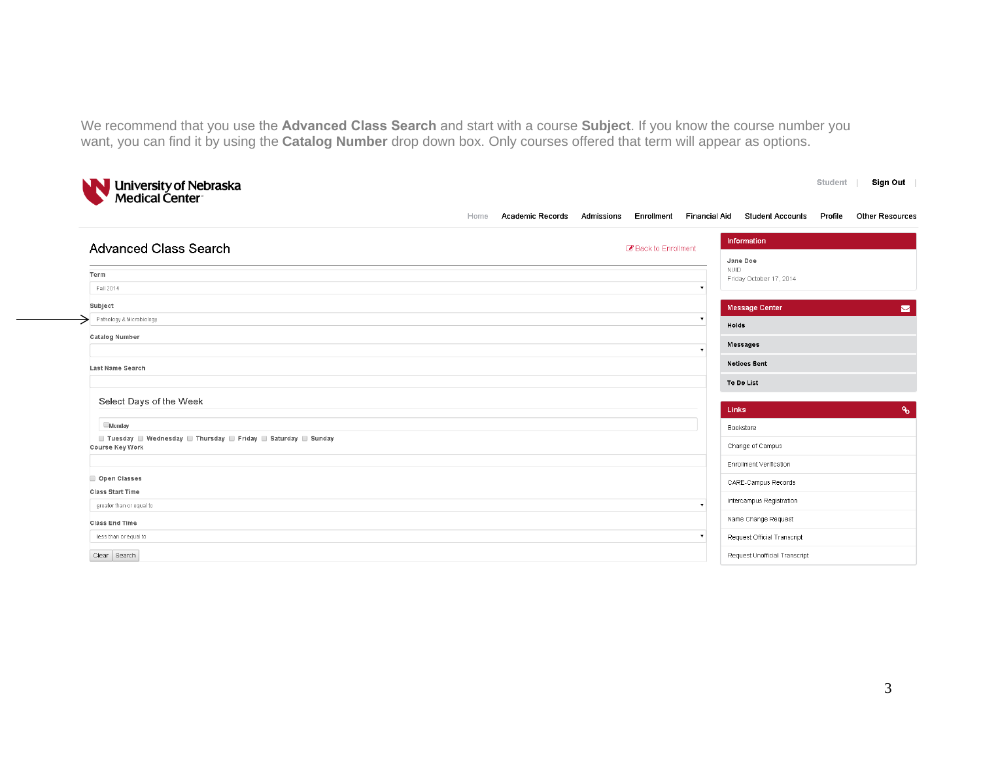We recommend that you use the **Advanced Class Search** and start with a course **Subject**. If you know the course number you want, you can find it by using the **Catalog Number** drop down box. Only courses offered that term will appear as options.

| University of Nebraska<br>Medical Center                                       |                                 |            |                    |                                        |                                                 | Student | Sign Out               |
|--------------------------------------------------------------------------------|---------------------------------|------------|--------------------|----------------------------------------|-------------------------------------------------|---------|------------------------|
|                                                                                | <b>Academic Records</b><br>Home | Admissions | Enrollment         | Financial Aid                          | <b>Student Accounts</b>                         | Profile | <b>Other Resources</b> |
| <b>Advanced Class Search</b>                                                   |                                 |            | Back to Enrollment |                                        | Information<br>Jane Doe                         |         |                        |
| Term<br>Fall 2014                                                              |                                 |            |                    | <b>NUID</b><br>$\overline{\mathbf{v}}$ | Friday October 17, 2014                         |         |                        |
| Subject<br>Pathology & Microbiology                                            |                                 |            |                    | $\pmb{\mathrm{v}}$                     | <b>Message Center</b>                           |         | $\blacksquare$         |
| <b>Catalog Number</b>                                                          |                                 |            |                    | $\pmb{\mathrm{v}}$                     | Holds<br><b>Messages</b>                        |         |                        |
| <b>Last Name Search</b>                                                        |                                 |            |                    |                                        | <b>Notices Sent</b>                             |         |                        |
| Select Days of the Week                                                        |                                 |            |                    |                                        | To Do List<br>Links                             |         | $\mathcal{Q}_0$        |
| <b>Monday</b><br>■ Tuesday ■ Wednesday ■ Thursday ■ Friday ■ Saturday ■ Sunday |                                 |            |                    |                                        | Bookstore                                       |         |                        |
| Course Key Work                                                                |                                 |            |                    |                                        | Change of Campus<br>Enrollment Verification     |         |                        |
| Open Classes<br><b>Class Start Time</b>                                        |                                 |            |                    |                                        | CARE-Campus Records                             |         |                        |
| greater than or equal to<br><b>Class End Time</b>                              |                                 |            |                    | $\pmb{\mathrm{v}}$                     | Intercampus Registration<br>Name Change Request |         |                        |
| less than or equal to                                                          |                                 |            |                    | $\mathbf v$                            | Request Official Transcript                     |         |                        |
| Clear   Search                                                                 |                                 |            |                    |                                        | Request Unofficial Transcript                   |         |                        |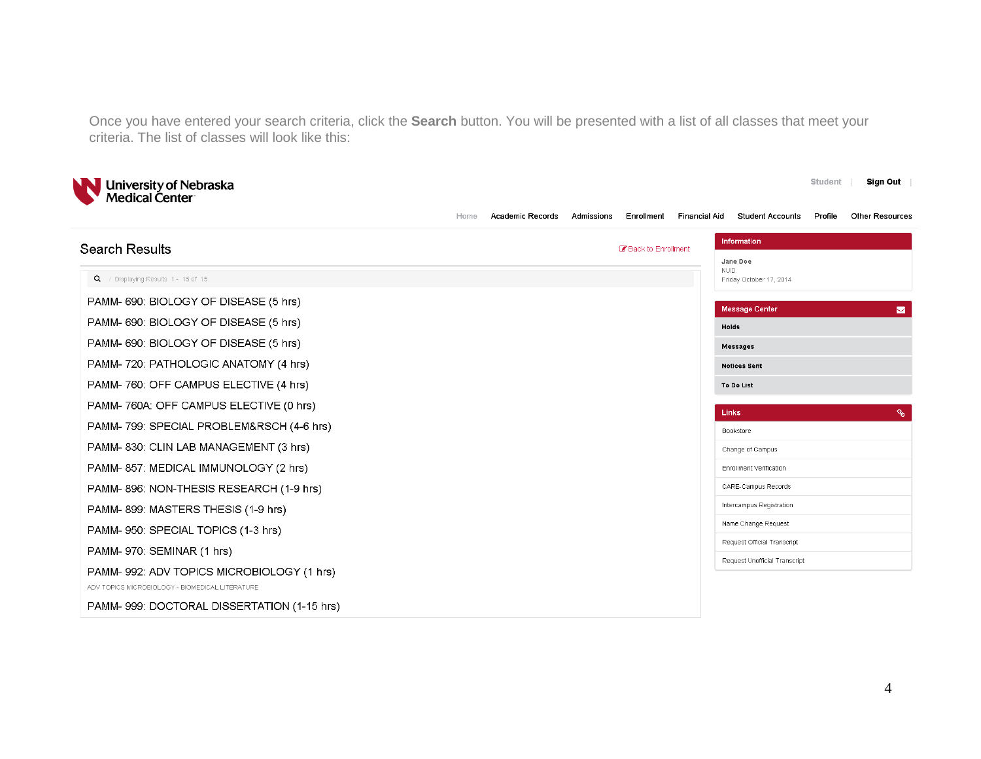Once you have entered your search criteria, click the **Search** button. You will be presented with a list of all classes that meet your criteria. The list of classes will look like this:



|                                                 | <b>Academic Records</b><br>Home | <b>Financial Aid</b><br>Enrollment<br>Admissions | <b>Student Accounts</b><br>Profile     | <b>Other Resources</b> |
|-------------------------------------------------|---------------------------------|--------------------------------------------------|----------------------------------------|------------------------|
| <b>Search Results</b>                           |                                 | Back to Enrollment                               | Information<br>Jane Doe                |                        |
| Q / Displaying Results 1 - 15 of 15             |                                 |                                                  | <b>NUID</b><br>Friday October 17, 2014 |                        |
| PAMM- 690: BIOLOGY OF DISEASE (5 hrs)           |                                 |                                                  | <b>Message Center</b>                  | $\triangleright$       |
| PAMM- 690: BIOLOGY OF DISEASE (5 hrs)           |                                 |                                                  | Holds                                  |                        |
| PAMM- 690: BIOLOGY OF DISEASE (5 hrs)           |                                 |                                                  | Messages                               |                        |
| PAMM- 720: PATHOLOGIC ANATOMY (4 hrs)           |                                 |                                                  | <b>Notices Sent</b>                    |                        |
| PAMM- 760: OFF CAMPUS ELECTIVE (4 hrs)          |                                 |                                                  | To Do List                             |                        |
| PAMM- 760A: OFF CAMPUS ELECTIVE (0 hrs)         |                                 |                                                  | Links                                  | o s                    |
| PAMM-799: SPECIAL PROBLEM&RSCH (4-6 hrs)        |                                 |                                                  | Bookstore                              |                        |
| PAMM-830: CLIN LAB MANAGEMENT (3 hrs)           |                                 |                                                  | Change of Campus                       |                        |
| PAMM-857: MEDICAL IMMUNOLOGY (2 hrs)            |                                 |                                                  | Enrollment Verification                |                        |
| PAMM-896: NON-THESIS RESEARCH (1-9 hrs)         |                                 |                                                  | CARE-Campus Records                    |                        |
| PAMM-899: MASTERS THESIS (1-9 hrs)              |                                 |                                                  | Intercampus Registration               |                        |
| PAMM-950: SPECIAL TOPICS (1-3 hrs)              |                                 |                                                  | Name Change Request                    |                        |
| PAMM- 970: SEMINAR (1 hrs)                      |                                 |                                                  | Request Official Transcript            |                        |
| PAMM-992: ADV TOPICS MICROBIOLOGY (1 hrs)       |                                 |                                                  | Request Unofficial Transcript          |                        |
| ADV TOPICS MICROBIOLOGY - BIOMEDICAL LITERATURE |                                 |                                                  |                                        |                        |
| PAMM-999: DOCTORAL DISSERTATION (1-15 hrs)      |                                 |                                                  |                                        |                        |

Student | Sign Out |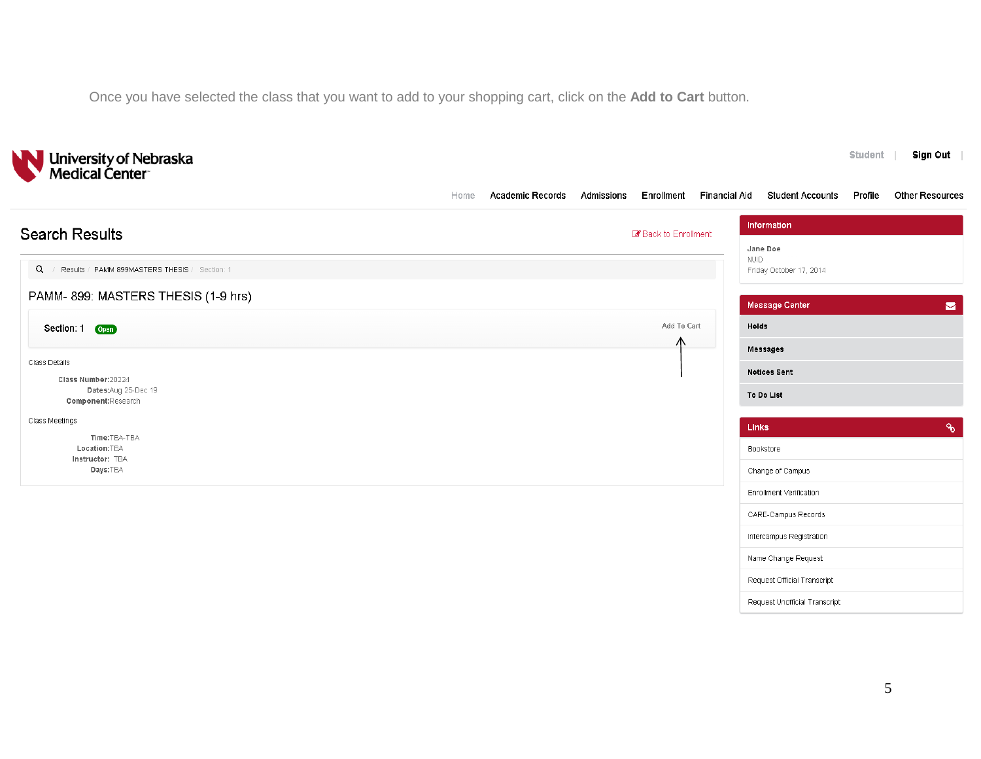Once you have selected the class that you want to add to your shopping cart, click on the **Add to Cart** button.

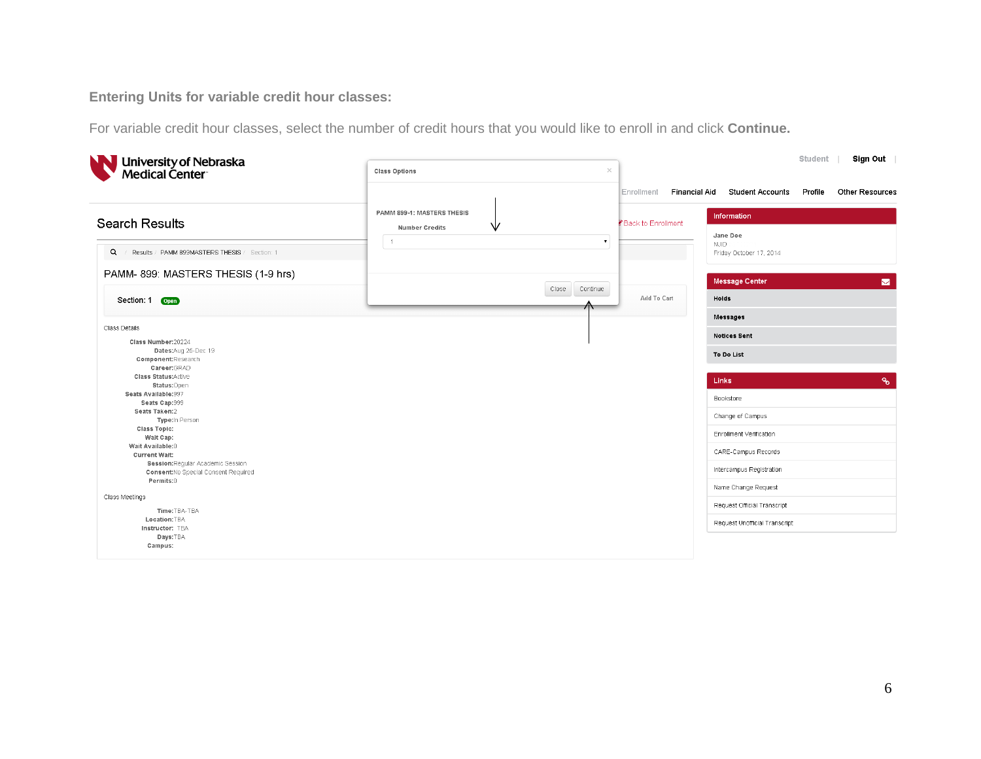**Entering Units for variable credit hour classes:** 

For variable credit hour classes, select the number of credit hours that you would like to enroll in and click **Continue.**

| University of Nebraska<br>Medical Center                                        | <b>Class Options</b>                                     | $\times$                | Sign Out<br>Student                                                           |
|---------------------------------------------------------------------------------|----------------------------------------------------------|-------------------------|-------------------------------------------------------------------------------|
|                                                                                 |                                                          | Enrollment              | <b>Financial Aid</b><br><b>Student Accounts</b><br>Other Resources<br>Profile |
| <b>Search Results</b>                                                           | PAMM 899-1: MASTERS THESIS<br>₩<br><b>Number Credits</b> | Back to Enrollment      | Information<br>Jane Doe                                                       |
| $\alpha$<br>Results / PAMM 899MASTERS THESIS / Section: 1                       | $\overline{1}$                                           | $\mathbf{v}$            | <b>NUID</b><br>Friday October 17, 2014                                        |
| PAMM- 899: MASTERS THESIS (1-9 hrs)                                             |                                                          |                         | <b>Message Center</b><br>$\blacksquare$                                       |
| Section: 1 Open                                                                 | Close                                                    | Continue<br>Add To Cart | Holds                                                                         |
| Class Details                                                                   |                                                          |                         | <b>Messages</b>                                                               |
| Class Number:20224<br>Dates:Aug 25-Dec 19<br>Component:Research<br>Career: GRAD |                                                          |                         | <b>Notices Sent</b><br>To Do List                                             |
| <b>Class Status:Active</b><br>Status:Open                                       |                                                          |                         | $\mathcal{P}_{\mathbf{0}}$<br>Links                                           |
| Seats Available:997<br>Seats Cap:999                                            |                                                          |                         | Bookstore                                                                     |
| Seats Taken:2<br>Type:In Person                                                 |                                                          |                         | Change of Campus                                                              |
| Class Topic:<br>Wait Cap:                                                       |                                                          |                         | Enrollment Verification                                                       |
| Wait Available:0<br><b>Current Wait:</b>                                        |                                                          |                         | CARE-Campus Records                                                           |
| Session: Regular Academic Session<br>Consent: No Special Consent Required       |                                                          |                         | Intercampus Registration                                                      |
| Permits:0                                                                       |                                                          |                         | Name Change Request                                                           |
| Class Meetings<br>Time:TBA-TBA                                                  |                                                          |                         | Request Official Transcript                                                   |
| Location:TBA<br>Instructor: TBA<br>Days:TBA<br>Campus:                          |                                                          |                         | Request Unofficial Transcript                                                 |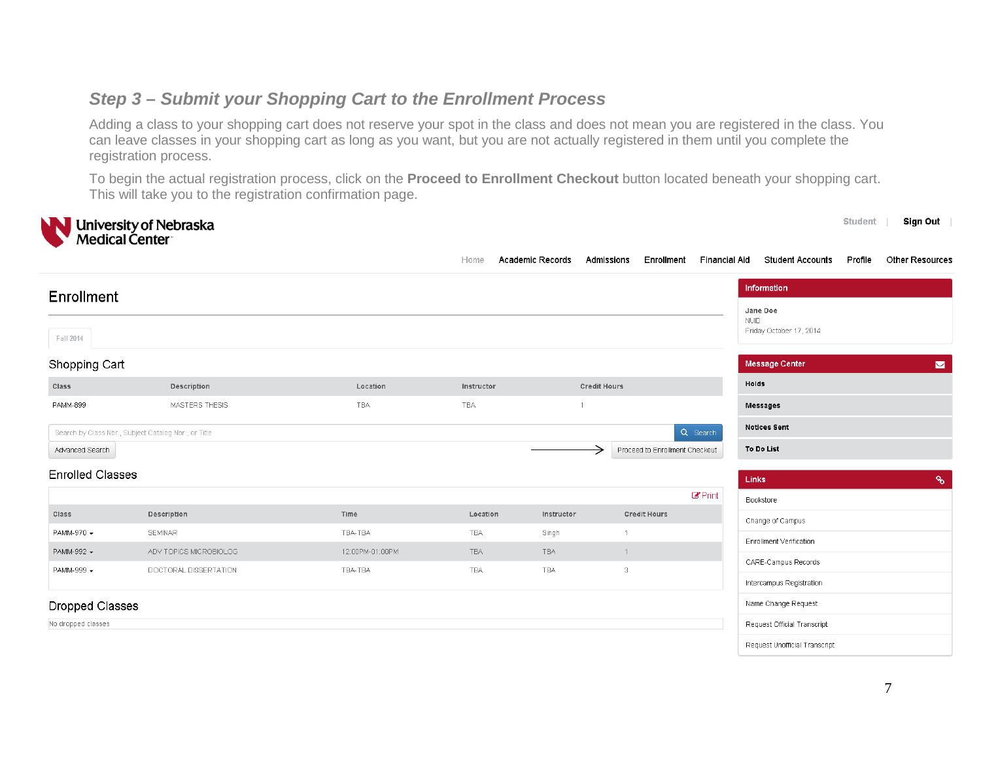#### *Step 3 – Submit your Shopping Cart to the Enrollment Process*

Adding a class to your shopping cart does not reserve your spot in the class and does not mean you are registered in the class. You can leave classes in your shopping cart as long as you want, but you are not actually registered in them until you complete the registration process.

To begin the actual registration process, click on the **Proceed to Enrollment Checkout** button located beneath your shopping cart. This will take you to the registration confirmation page.

|                         | University of Nebraska<br>Medical Center             |                 |            |                         |                                |                |                                                    | Student | Sign Out              |
|-------------------------|------------------------------------------------------|-----------------|------------|-------------------------|--------------------------------|----------------|----------------------------------------------------|---------|-----------------------|
|                         |                                                      |                 | Home       | <b>Academic Records</b> | Enrollment<br>Admissions       | Financial Aid  | <b>Student Accounts</b>                            | Profile | Other Resources       |
| <b>Enrollment</b>       |                                                      |                 |            |                         |                                |                | Information                                        |         |                       |
| Fall 2014               |                                                      |                 |            |                         |                                |                | Jane Doe<br><b>NUID</b><br>Friday October 17, 2014 |         |                       |
| Shopping Cart           |                                                      |                 |            |                         |                                |                | <b>Message Center</b>                              |         | $\blacktriangleright$ |
| Class                   | Description                                          | Location        | Instructor |                         | <b>Credit Hours</b>            |                | Holds                                              |         |                       |
| PAMM-899                | MASTERS THESIS                                       | TBA             | TBA        | $\mathbf{1}$            |                                |                | <b>Messages</b>                                    |         |                       |
|                         | Search by Class Nbr., Subject Catalog Nbr., or Title |                 |            |                         |                                | Q Search       | <b>Notices Sent</b>                                |         |                       |
| Advanced Search         |                                                      |                 |            |                         | Proceed to Enrollment Checkout |                | To Do List                                         |         |                       |
| <b>Enrolled Classes</b> |                                                      |                 |            |                         |                                |                | Links                                              |         | $\delta$              |
|                         |                                                      |                 |            |                         |                                | $\alpha$ Print | Bookstore                                          |         |                       |
| Class                   | Description                                          | Time            | Location   | Instructor              | <b>Credit Hours</b>            |                | Change of Campus                                   |         |                       |
| PAMM-970 -              | SEMINAR                                              | TBA-TBA         | <b>TBA</b> | Singh                   | $\mathbf{1}$                   |                | <b>Enrollment Verification</b>                     |         |                       |
| PAMM-992 -              | ADV TOPICS MICROBIOLOG                               | 12:00PM-01:00PM | <b>TBA</b> | TBA                     | $\mathbf{1}$                   |                | CARE-Campus Records                                |         |                       |
| PAMM-999 -              | DOCTORAL DISSERTATION                                | TBA-TBA         | TBA        | TBA                     | 3                              |                | Intercampus Registration                           |         |                       |
| Dropped Classes         |                                                      |                 |            |                         |                                |                | Name Change Request                                |         |                       |
| No dropped classes      |                                                      |                 |            |                         |                                |                | Request Official Transcript                        |         |                       |
|                         |                                                      |                 |            |                         |                                |                | Request Unofficial Transcript                      |         |                       |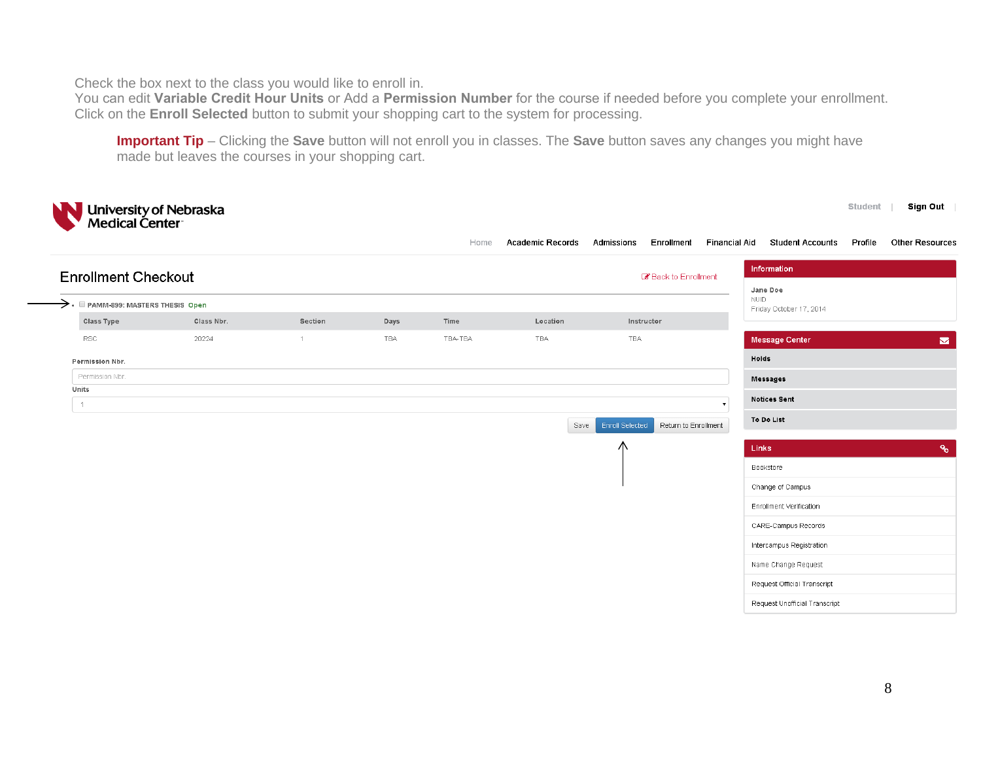Check the box next to the class you would like to enroll in.

You can edit **Variable Credit Hour Units** or Add a **Permission Number** for the course if needed before you complete your enrollment. Click on the **Enroll Selected** button to submit your shopping cart to the system for processing.

**Important Tip** – Clicking the **Save** button will not enroll you in classes. The **Save** button saves any changes you might have made but leaves the courses in your shopping cart.

| University of Nebraska<br>Medical Center                   |            |                |      | Home    | <b>Academic Records</b> | Admissions<br>Enrollment                       | <b>Sign Out</b><br>Student  <br>Other Resources<br>Financial Aid<br><b>Student Accounts</b><br>Profile |
|------------------------------------------------------------|------------|----------------|------|---------|-------------------------|------------------------------------------------|--------------------------------------------------------------------------------------------------------|
| <b>Enrollment Checkout</b>                                 |            |                |      |         |                         | Back to Enrollment                             | Information                                                                                            |
| $\rightarrow$ $\cdot$ $\Box$ PAMM-899: MASTERS THESIS Open |            |                |      |         |                         |                                                | Jane Doe<br>NUID.                                                                                      |
| Class Type                                                 | Class Nbr. | Section        | Days | Time    | Location                | Instructor                                     | Friday October 17, 2014                                                                                |
| <b>RSC</b>                                                 | 20224      | $\overline{1}$ | TBA  | TBA-TBA | TBA                     | TBA                                            | <b>Message Center</b><br>$\blacktriangleright$                                                         |
| Permission Nbr.                                            |            |                |      |         |                         |                                                | Holds                                                                                                  |
| Permission Nbr.                                            |            |                |      |         |                         |                                                | Messages                                                                                               |
| Units<br>$\overline{1}$                                    |            |                |      |         |                         |                                                | <b>Notices Sent</b><br>$\pmb{\mathrm{v}}$                                                              |
|                                                            |            |                |      |         | Save                    | <b>Enroll Selected</b><br>Return to Enrollment | To Do List                                                                                             |
|                                                            |            |                |      |         |                         | Λ                                              | $\mathcal{P}_{\mathbf{0}}$<br>Links                                                                    |
|                                                            |            |                |      |         |                         |                                                | Bookstore                                                                                              |
|                                                            |            |                |      |         |                         |                                                | Change of Campus                                                                                       |
|                                                            |            |                |      |         |                         |                                                | Enrollment Verification                                                                                |
|                                                            |            |                |      |         |                         |                                                | CARE-Campus Records                                                                                    |
|                                                            |            |                |      |         |                         |                                                | Intercampus Registration                                                                               |
|                                                            |            |                |      |         |                         |                                                | Name Change Request                                                                                    |
|                                                            |            |                |      |         |                         |                                                | Request Official Transcript                                                                            |
|                                                            |            |                |      |         |                         |                                                | Request Unofficial Transcript                                                                          |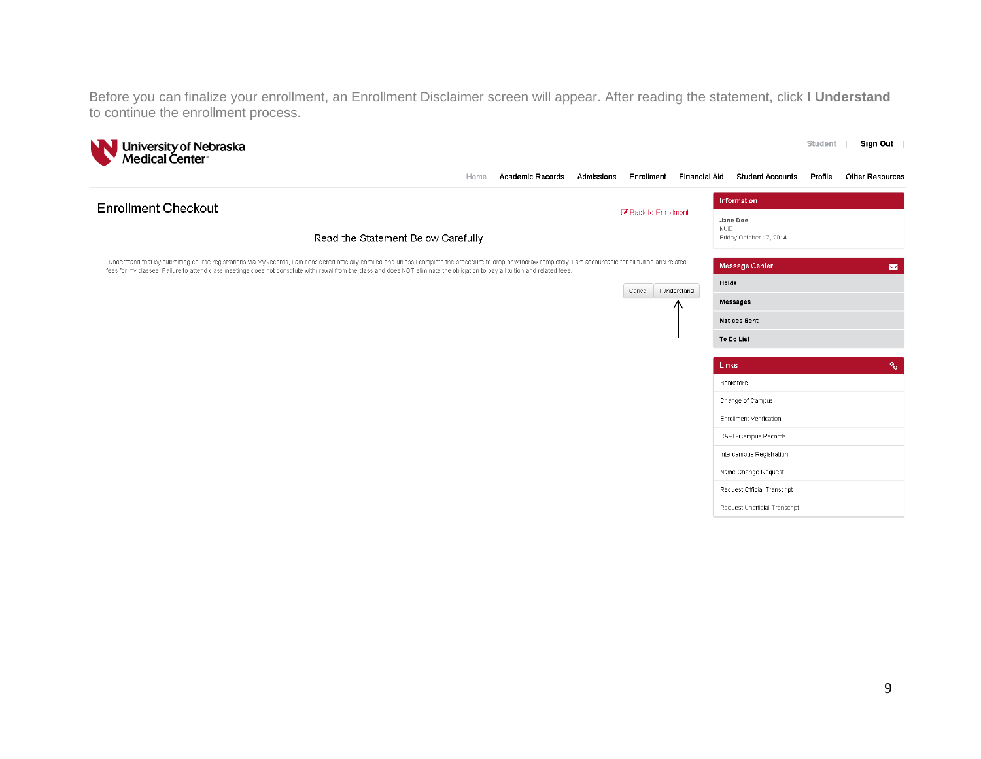Before you can finalize your enrollment, an Enrollment Disclaimer screen will appear. After reading the statement, click **I Understand** to continue the enrollment process.

| University of Nebraska<br>Medical Center                                                                                                                                                                                                                                                                                                                                                                   |      |                         |            |            |                   |                                                              | Student | Sign Out                   |
|------------------------------------------------------------------------------------------------------------------------------------------------------------------------------------------------------------------------------------------------------------------------------------------------------------------------------------------------------------------------------------------------------------|------|-------------------------|------------|------------|-------------------|--------------------------------------------------------------|---------|----------------------------|
|                                                                                                                                                                                                                                                                                                                                                                                                            | Home | <b>Academic Records</b> | Admissions | Enrollment | Financial Aid     | <b>Student Accounts</b>                                      | Profile | Other Resources            |
| <b>Enrollment Checkout</b><br>Back to Enrollment                                                                                                                                                                                                                                                                                                                                                           |      |                         |            |            |                   | Information<br>Jane Doe                                      |         |                            |
| Read the Statement Below Carefully                                                                                                                                                                                                                                                                                                                                                                         |      |                         |            |            | <b>NUID</b>       | Friday October 17, 2014                                      |         |                            |
| I understand that by submitting course registrations via MyRecords, I am considered officially enrolled and unless I complete the procedure to drop or withdraw completely, I am accountable for all tuition and related<br>fees for my classes. Failure to attend class meetings does not constitute withdrawal from the class and does NOT eliminate the obligation to pay all tuition and related fees. |      |                         |            |            |                   | Message Center                                               |         | $\blacksquare$             |
|                                                                                                                                                                                                                                                                                                                                                                                                            |      |                         |            | Cancel     | I Understand<br>Æ | Holds<br>Messages                                            |         |                            |
|                                                                                                                                                                                                                                                                                                                                                                                                            |      |                         |            |            |                   | <b>Notices Sent</b><br>To Do List                            |         |                            |
|                                                                                                                                                                                                                                                                                                                                                                                                            |      |                         |            |            |                   | Links                                                        |         | $\mathcal{P}_{\mathbf{0}}$ |
|                                                                                                                                                                                                                                                                                                                                                                                                            |      |                         |            |            |                   | Bookstore                                                    |         |                            |
|                                                                                                                                                                                                                                                                                                                                                                                                            |      |                         |            |            |                   | Change of Campus                                             |         |                            |
|                                                                                                                                                                                                                                                                                                                                                                                                            |      |                         |            |            |                   | Enrollment Verification<br>CARE-Campus Records               |         |                            |
|                                                                                                                                                                                                                                                                                                                                                                                                            |      |                         |            |            |                   | Intercampus Registration                                     |         |                            |
|                                                                                                                                                                                                                                                                                                                                                                                                            |      |                         |            |            |                   | Name Change Request                                          |         |                            |
|                                                                                                                                                                                                                                                                                                                                                                                                            |      |                         |            |            |                   | Request Official Transcript<br>Request Unofficial Transcript |         |                            |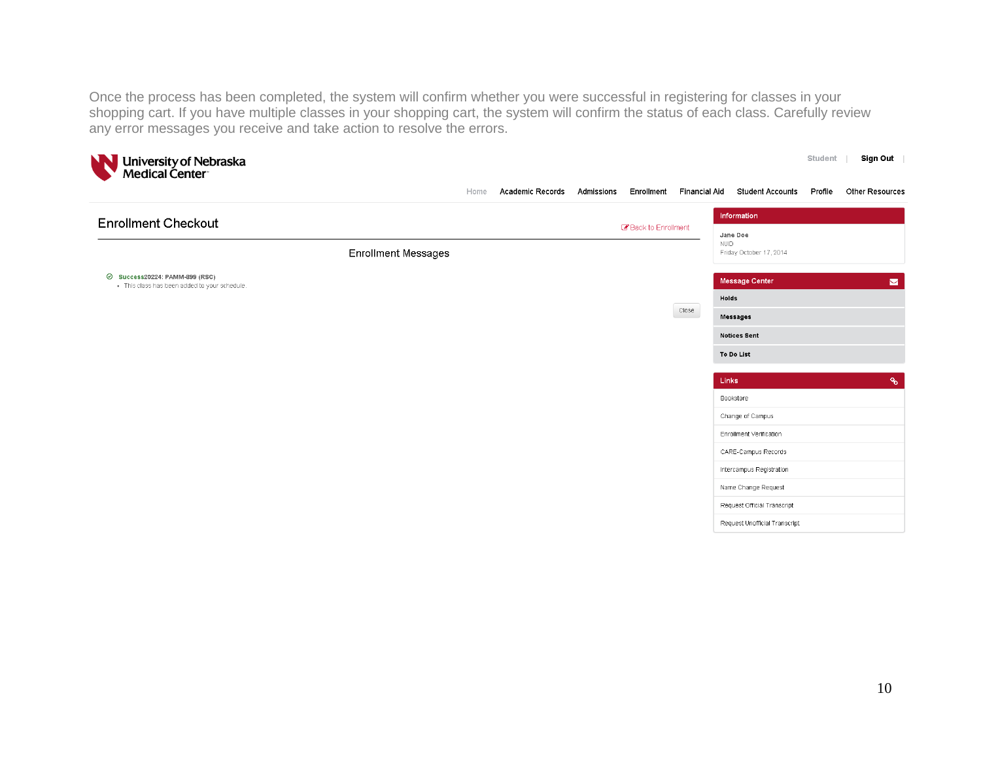Once the process has been completed, the system will confirm whether you were successful in registering for classes in your shopping cart. If you have multiple classes in your shopping cart, the system will confirm the status of each class. Carefully review any error messages you receive and take action to resolve the errors.

| NN<br>University of Nebraska<br>Medical Center                                  |                     |      |                         |            |                    |                          |                                                    | <b>Student</b> | Sign Out                   |
|---------------------------------------------------------------------------------|---------------------|------|-------------------------|------------|--------------------|--------------------------|----------------------------------------------------|----------------|----------------------------|
|                                                                                 |                     | Home | <b>Academic Records</b> | Admissions |                    | Enrollment Financial Aid | <b>Student Accounts</b>                            | Profile        | Other Resources            |
| <b>Enrollment Checkout</b>                                                      |                     |      |                         |            |                    |                          | Information                                        |                |                            |
|                                                                                 | Enrollment Messages |      |                         |            | Back to Enrollment |                          | Jane Doe<br><b>NUID</b><br>Friday October 17, 2014 |                |                            |
| ⊙ Success20224: PAMM-899 (RSC)<br>· This class has been added to your schedule. |                     |      |                         |            |                    |                          | Message Center                                     |                | $\blacksquare$             |
|                                                                                 |                     |      |                         |            |                    | Close                    | Holds                                              |                |                            |
|                                                                                 |                     |      |                         |            |                    |                          | Messages                                           |                |                            |
|                                                                                 |                     |      |                         |            |                    |                          | <b>Notices Sent</b>                                |                |                            |
|                                                                                 |                     |      |                         |            |                    |                          | To Do List                                         |                |                            |
|                                                                                 |                     |      |                         |            |                    |                          | Links                                              |                | $\mathcal{P}_{\mathbf{0}}$ |
|                                                                                 |                     |      |                         |            |                    |                          | Bookstore                                          |                |                            |
|                                                                                 |                     |      |                         |            |                    |                          | Change of Campus                                   |                |                            |
|                                                                                 |                     |      |                         |            |                    |                          | Enrollment Verification                            |                |                            |
|                                                                                 |                     |      |                         |            |                    |                          | CARE-Campus Records                                |                |                            |
|                                                                                 |                     |      |                         |            |                    |                          | Intercampus Registration                           |                |                            |
|                                                                                 |                     |      |                         |            |                    |                          | Name Change Request                                |                |                            |
|                                                                                 |                     |      |                         |            |                    |                          | Request Official Transcript                        |                |                            |
|                                                                                 |                     |      |                         |            |                    |                          | Request Unofficial Transcript                      |                |                            |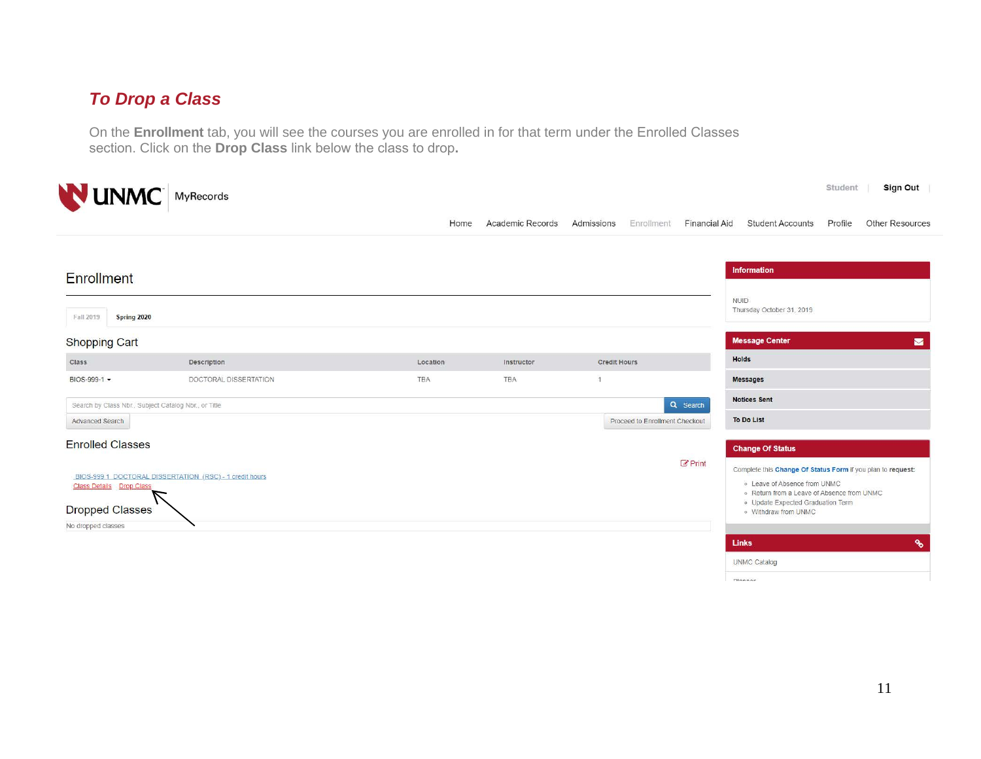## *To Drop a Class*

On the **Enrollment** tab, you will see the courses you are enrolled in for that term under the Enrolled Classes section. Click on the **Drop Class** link below the class to drop**.** 

|                                 | <b>NUNMC</b> MyRecords                                  |          |                  |                     |                                    | Sign Out<br>Student                                                                                                                       |
|---------------------------------|---------------------------------------------------------|----------|------------------|---------------------|------------------------------------|-------------------------------------------------------------------------------------------------------------------------------------------|
|                                 |                                                         | Home     | Academic Records | Admissions          | Enrollment<br><b>Financial Aid</b> | Other Resources<br><b>Student Accounts</b><br>Profile                                                                                     |
| <b>Enrollment</b>               |                                                         |          |                  |                     |                                    | <b>Information</b>                                                                                                                        |
| Fall 2019<br>Spring 2020        |                                                         |          |                  |                     |                                    | <b>NUID</b><br>Thursday October 31, 2019                                                                                                  |
| <b>Shopping Cart</b>            |                                                         |          |                  |                     |                                    | <b>Message Center</b><br>$\blacksquare$                                                                                                   |
| Class                           | Description                                             | Location | Instructor       | <b>Credit Hours</b> |                                    | <b>Holds</b>                                                                                                                              |
| BIOS-999-1 -                    | DOCTORAL DISSERTATION                                   | TBA      | TBA              | $\sqrt{1}$          |                                    | <b>Messages</b>                                                                                                                           |
|                                 | Search by Class Nbr., Subject Catalog Nbr., or Title    |          |                  |                     | Q Search                           | <b>Notices Sent</b>                                                                                                                       |
| Advanced Search                 |                                                         |          |                  |                     | Proceed to Enrollment Checkout     | <b>To Do List</b>                                                                                                                         |
| <b>Enrolled Classes</b>         |                                                         |          |                  |                     |                                    | <b>Change Of Status</b>                                                                                                                   |
| <b>Class Details</b> Drop Class | BIOS-999 1 DOCTORAL DISSERTATION (RSC) - 1 credit hours |          |                  |                     | $\mathcal{C}$ Print                | Complete this Change Of Status Form if you plan to request:<br>. Leave of Absence from UNMC<br>. Return from a Leave of Absence from UNMC |
| <b>Dropped Classes</b>          |                                                         |          |                  |                     |                                    | · Update Expected Graduation Term<br>o Withdraw from UNMC                                                                                 |
| No dropped classes              |                                                         |          |                  |                     |                                    |                                                                                                                                           |
|                                 |                                                         |          |                  |                     |                                    | $\delta$<br><b>Links</b>                                                                                                                  |
|                                 |                                                         |          |                  |                     |                                    | <b>UNMC Catalog</b>                                                                                                                       |
|                                 |                                                         |          |                  |                     |                                    | Diagnor                                                                                                                                   |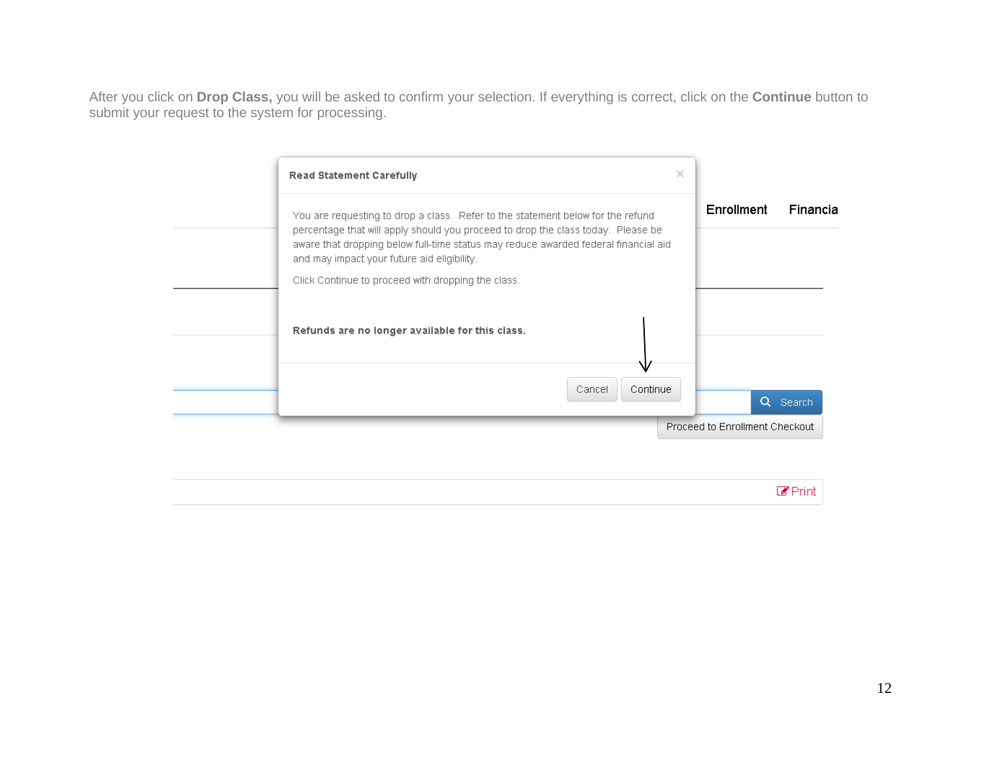After you click on **Drop Class,** you will be asked to confirm your selection. If everything is correct, click on the **Continue** button to submit your request to the system for processing.

| Enrollment<br>Financia<br>You are requesting to drop a class. Refer to the statement below for the refund<br>percentage that will apply should you proceed to drop the class today. Please be<br>aware that dropping below full-time status may reduce awarded federal financial aid<br>and may impact your future aid eligibility.<br>Click Continue to proceed with dropping the class.<br>Refunds are no longer available for this class.<br>Continue<br>Cancel | <b>Read Statement Carefully</b> | $\times$ |  |
|--------------------------------------------------------------------------------------------------------------------------------------------------------------------------------------------------------------------------------------------------------------------------------------------------------------------------------------------------------------------------------------------------------------------------------------------------------------------|---------------------------------|----------|--|
|                                                                                                                                                                                                                                                                                                                                                                                                                                                                    |                                 |          |  |
|                                                                                                                                                                                                                                                                                                                                                                                                                                                                    |                                 |          |  |
|                                                                                                                                                                                                                                                                                                                                                                                                                                                                    |                                 |          |  |
|                                                                                                                                                                                                                                                                                                                                                                                                                                                                    |                                 |          |  |

 $\mathbb{Z}$ Print